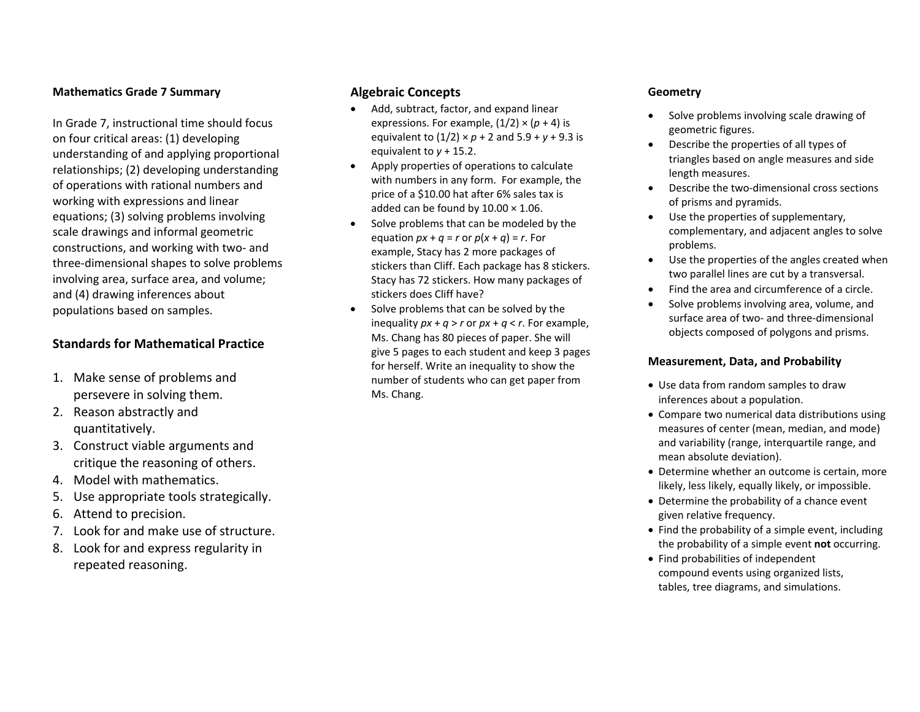#### **Mathematics Grade 7 Summary**

In Grade 7, instructional time should focus on four critical areas: (1) developing understanding of and applying proportional relationships; (2) developing understanding of operations with rational numbers and working with expressions and linear equations; (3) solving problems involving scale drawings and informal geometric constructions, and working with two‐ and three‐dimensional shapes to solve problems involving area, surface area, and volume; and (4) drawing inferences about populations based on samples.

## **Standards for Mathematical Practice**

- 1. Make sense of problems and persevere in solving them.
- 2. Reason abstractly and quantitatively.
- 3. Construct viable arguments and critique the reasoning of others.
- 4. Model with mathematics.
- 5. Use appropriate tools strategically.
- 6. Attend to precision.
- 7. Look for and make use of structure.
- 8. Look for and express regularity in repeated reasoning.

### **Algebraic Concepts**

- Add, subtract, factor, and expand linear expressions. For example,  $(1/2) \times (p + 4)$  is equivalent to  $(1/2) \times p + 2$  and  $5.9 + y + 9.3$  is equivalent to *y* <sup>+</sup> 15.2.
- $\bullet$  Apply properties of operations to calculate with numbers in any form. For example, the price of <sup>a</sup> \$10.00 hat after 6% sales tax is added can be found by 10.00 <sup>×</sup> 1.06.
- $\bullet$ • Solve problems that can be modeled by the equation  $px + q = r$  or  $p(x + q) = r$ . For example, Stacy has 2 more packages of stickers than Cliff. Each package has 8 stickers. Stacy has 72 stickers. How many packages of stickers does Cliff have?
- $\bullet$ • Solve problems that can be solved by the inequality  $px + q > r$  or  $px + q < r$ . For example, Ms. Chang has 80 pieces of paper. She will give 5 pages to each student and keep 3 pages for herself. Write an inequality to show the number of students who can get paper from Ms. Chang.

### **Geometry**

- 0 • Solve problems involving scale drawing of geometric figures.
- e Describe the properties of all types of triangles based on angle measures and side length measures.
- e ● Describe the two-dimensional cross sections of prisms and pyramids.
- Use the properties of supplementary, complementary, and adjacent angles to solve problems.
- Use the properties of the angles created when two parallel lines are cut by <sup>a</sup> transversal.
- 0 Find the area and circumference of <sup>a</sup> circle.
- 0 • Solve problems involving area, volume, and surface area of two‐ and three‐dimensional objects composed of polygons and prisms.

### **Measurement, Data, and Probability**

- Use data from random samples to draw inferences about <sup>a</sup> population.
- Compare two numerical data distributions using measures of center (mean, median, and mode) and variability (range, interquartile range, and mean absolute deviation).
- Determine whether an outcome is certain, more likely, less likely, equally likely, or impossible.
- Determine the probability of <sup>a</sup> chance event given relative frequency.
- Find the probability of a simple event, including the probability of <sup>a</sup> simple event **not** occurring.
- Find probabilities of independent compound events using organized lists, tables, tree diagrams, and simulations.